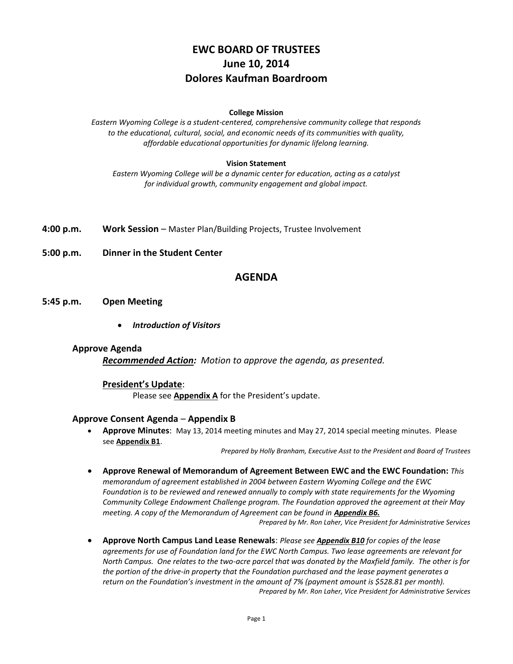# **EWC BOARD OF TRUSTEES June 10, 2014 Dolores Kaufman Boardroom**

#### **College Mission**

*Eastern Wyoming College is a student-centered, comprehensive community college that responds to the educational, cultural, social, and economic needs of its communities with quality, affordable educational opportunities for dynamic lifelong learning.*

#### **Vision Statement**

*Eastern Wyoming College will be a dynamic center for education, acting as a catalyst for individual growth, community engagement and global impact.*

**4:00 p.m. Work Session** – Master Plan/Building Projects, Trustee Involvement

**5:00 p.m. Dinner in the Student Center**

### **AGENDA**

#### **5:45 p.m. Open Meeting**

*Introduction of Visitors*

#### **Approve Agenda**

*Recommended Action: Motion to approve the agenda, as presented.*

### **President's Update**:

Please see **Appendix A** for the President's update.

#### **Approve Consent Agenda** – **Appendix B**

 **Approve Minutes**: May 13, 2014 meeting minutes and May 27, 2014 special meeting minutes. Please see **Appendix B1**.

*Prepared by Holly Branham, Executive Asst to the President and Board of Trustees*

- **Approve Renewal of Memorandum of Agreement Between EWC and the EWC Foundation:** *This memorandum of agreement established in 2004 between Eastern Wyoming College and the EWC Foundation is to be reviewed and renewed annually to comply with state requirements for the Wyoming Community College Endowment Challenge program. The Foundation approved the agreement at their May meeting. A copy of the Memorandum of Agreement can be found in Appendix B6. Prepared by Mr. Ron Laher, Vice President for Administrative Services*
- **Approve North Campus Land Lease Renewals**: *Please see Appendix B10 for copies of the lease agreements for use of Foundation land for the EWC North Campus. Two lease agreements are relevant for North Campus. One relates to the two-acre parcel that was donated by the Maxfield family. The other is for the portion of the drive-in property that the Foundation purchased and the lease payment generates a return on the Foundation's investment in the amount of 7% (payment amount is \$528.81 per month). Prepared by Mr. Ron Laher, Vice President for Administrative Services*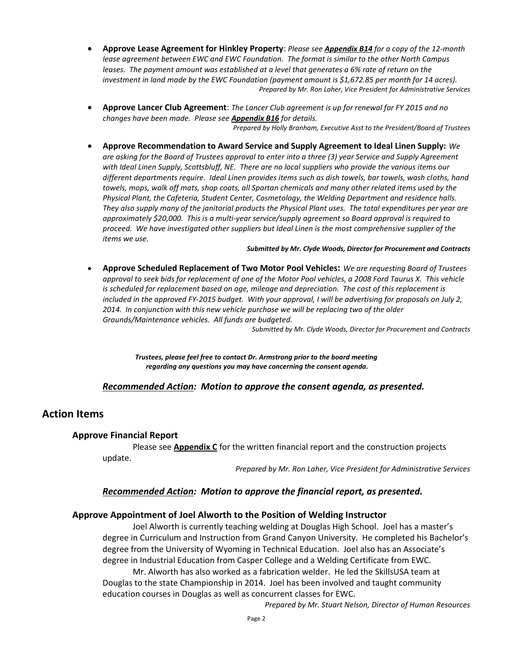- **Approve Lease Agreement for Hinkley Property**: *Please see Appendix B14 for a copy of the 12-month lease agreement between EWC and EWC Foundation. The format is similar to the other North Campus leases. The payment amount was established at a level that generates a 6% rate of return on the investment in land made by the EWC Foundation (payment amount is \$1,672.85 per month for 14 acres). Prepared by Mr. Ron Laher, Vice President for Administrative Services*
- **Approve Lancer Club Agreement**: *The Lancer Club agreement is up for renewal for FY 2015 and no changes have been made. Please see Appendix B16 for details.*

*Prepared by Holly Branham, Executive Asst to the President/Board of Trustees*

 **Approve Recommendation to Award Service and Supply Agreement to Ideal Linen Supply:** *We are asking for the Board of Trustees approval to enter into a three (3) year Service and Supply Agreement with Ideal Linen Supply, Scottsbluff, NE. There are no local suppliers who provide the various items our different departments require. Ideal Linen provides items such as dish towels, bar towels, wash cloths, hand towels, mops, walk off mats, shop coats, all Spartan chemicals and many other related items used by the Physical Plant, the Cafeteria, Student Center, Cosmetology, the Welding Department and residence halls. They also supply many of the janitorial products the Physical Plant uses. The total expenditures per year are approximately \$20,000. This is a multi-year service/supply agreement so Board approval is required to proceed. We have investigated other suppliers but Ideal Linen is the most comprehensive supplier of the items we use.*

*Submitted by Mr. Clyde Woods, Director for Procurement and Contracts*

 **Approve Scheduled Replacement of Two Motor Pool Vehicles:** *We are requesting Board of Trustees approval to seek bids for replacement of one of the Motor Pool vehicles, a 2008 Ford Taurus X. This vehicle is scheduled for replacement based on age, mileage and depreciation. The cost of this replacement is included in the approved FY-2015 budget. With your approval, I will be advertising for proposals on July 2, 2014. In conjunction with this new vehicle purchase we will be replacing two of the older Grounds/Maintenance vehicles. All funds are budgeted.*

*Submitted by Mr. Clyde Woods, Director for Procurement and Contracts*

*Trustees, please feel free to contact Dr. Armstrong prior to the board meeting regarding any questions you may have concerning the consent agenda.*

### *Recommended Action: Motion to approve the consent agenda, as presented.*

### **Action Items**

### **Approve Financial Report**

Please see **Appendix C** for the written financial report and the construction projects update.

*Prepared by Mr. Ron Laher, Vice President for Administrative Services*

### *Recommended Action: Motion to approve the financial report, as presented.*

### **Approve Appointment of Joel Alworth to the Position of Welding Instructor**

Joel Alworth is currently teaching welding at Douglas High School. Joel has a master's degree in Curriculum and Instruction from Grand Canyon University. He completed his Bachelor's degree from the University of Wyoming in Technical Education. Joel also has an Associate's degree in Industrial Education from Casper College and a Welding Certificate from EWC.

Mr. Alworth has also worked as a fabrication welder. He led the SkillsUSA team at Douglas to the state Championship in 2014. Joel has been involved and taught community education courses in Douglas as well as concurrent classes for EWC.

*Prepared by Mr. Stuart Nelson, Director of Human Resources*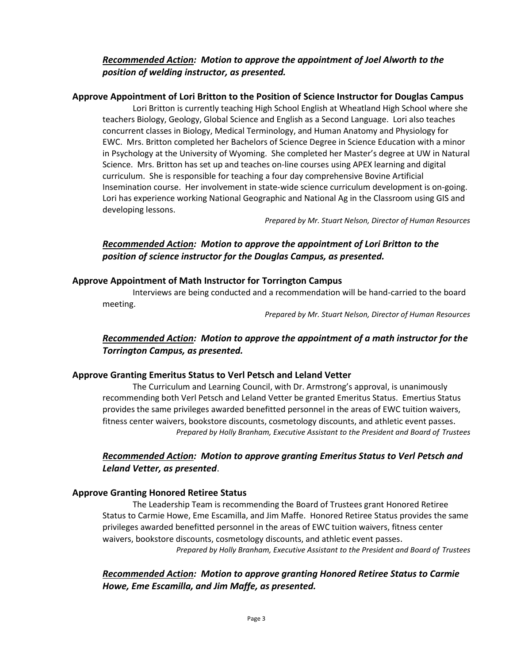# *Recommended Action: Motion to approve the appointment of Joel Alworth to the position of welding instructor, as presented.*

### **Approve Appointment of Lori Britton to the Position of Science Instructor for Douglas Campus**

Lori Britton is currently teaching High School English at Wheatland High School where she teachers Biology, Geology, Global Science and English as a Second Language. Lori also teaches concurrent classes in Biology, Medical Terminology, and Human Anatomy and Physiology for EWC. Mrs. Britton completed her Bachelors of Science Degree in Science Education with a minor in Psychology at the University of Wyoming. She completed her Master's degree at UW in Natural Science. Mrs. Britton has set up and teaches on-line courses using APEX learning and digital curriculum. She is responsible for teaching a four day comprehensive Bovine Artificial Insemination course. Her involvement in state-wide science curriculum development is on-going. Lori has experience working National Geographic and National Ag in the Classroom using GIS and developing lessons.

*Prepared by Mr. Stuart Nelson, Director of Human Resources*

# *Recommended Action: Motion to approve the appointment of Lori Britton to the position of science instructor for the Douglas Campus, as presented.*

### **Approve Appointment of Math Instructor for Torrington Campus**

Interviews are being conducted and a recommendation will be hand-carried to the board meeting.

*Prepared by Mr. Stuart Nelson, Director of Human Resources*

# *Recommended Action: Motion to approve the appointment of a math instructor for the Torrington Campus, as presented.*

### **Approve Granting Emeritus Status to Verl Petsch and Leland Vetter**

The Curriculum and Learning Council, with Dr. Armstrong's approval, is unanimously recommending both Verl Petsch and Leland Vetter be granted Emeritus Status. Emertius Status provides the same privileges awarded benefitted personnel in the areas of EWC tuition waivers, fitness center waivers, bookstore discounts, cosmetology discounts, and athletic event passes. *Prepared by Holly Branham, Executive Assistant to the President and Board of Trustees*

# *Recommended Action: Motion to approve granting Emeritus Status to Verl Petsch and Leland Vetter, as presented*.

### **Approve Granting Honored Retiree Status**

The Leadership Team is recommending the Board of Trustees grant Honored Retiree Status to Carmie Howe, Eme Escamilla, and Jim Maffe. Honored Retiree Status provides the same privileges awarded benefitted personnel in the areas of EWC tuition waivers, fitness center waivers, bookstore discounts, cosmetology discounts, and athletic event passes. *Prepared by Holly Branham, Executive Assistant to the President and Board of Trustees*

*Recommended Action: Motion to approve granting Honored Retiree Status to Carmie Howe, Eme Escamilla, and Jim Maffe, as presented.*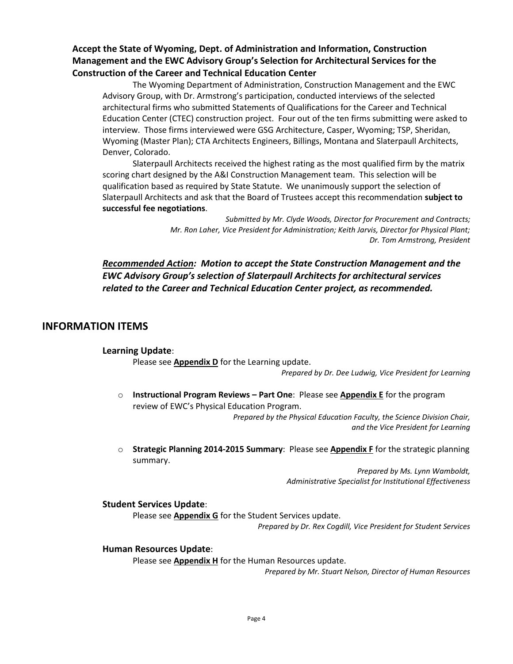# **Accept the State of Wyoming, Dept. of Administration and Information, Construction Management and the EWC Advisory Group's Selection for Architectural Services for the Construction of the Career and Technical Education Center**

The Wyoming Department of Administration, Construction Management and the EWC Advisory Group, with Dr. Armstrong's participation, conducted interviews of the selected architectural firms who submitted Statements of Qualifications for the Career and Technical Education Center (CTEC) construction project. Four out of the ten firms submitting were asked to interview. Those firms interviewed were GSG Architecture, Casper, Wyoming; TSP, Sheridan, Wyoming (Master Plan); CTA Architects Engineers, Billings, Montana and Slaterpaull Architects, Denver, Colorado.

Slaterpaull Architects received the highest rating as the most qualified firm by the matrix scoring chart designed by the A&I Construction Management team. This selection will be qualification based as required by State Statute. We unanimously support the selection of Slaterpaull Architects and ask that the Board of Trustees accept this recommendation **subject to successful fee negotiations**.

> *Submitted by Mr. Clyde Woods, Director for Procurement and Contracts; Mr. Ron Laher, Vice President for Administration; Keith Jarvis, Director for Physical Plant; Dr. Tom Armstrong, President*

*Recommended Action: Motion to accept the State Construction Management and the EWC Advisory Group's selection of Slaterpaull Architects for architectural services related to the Career and Technical Education Center project, as recommended.* 

# **INFORMATION ITEMS**

### **Learning Update**:

Please see **Appendix D** for the Learning update.

*Prepared by Dr. Dee Ludwig, Vice President for Learning*

o **Instructional Program Reviews – Part One**: Please see **Appendix E** for the program review of EWC's Physical Education Program.

*Prepared by the Physical Education Faculty, the Science Division Chair, and the Vice President for Learning*

o **Strategic Planning 2014-2015 Summary**: Please see **Appendix F** for the strategic planning summary.

> *Prepared by Ms. Lynn Wamboldt, Administrative Specialist for Institutional Effectiveness*

### **Student Services Update**:

Please see **Appendix G** for the Student Services update.

*Prepared by Dr. Rex Cogdill, Vice President for Student Services*

### **Human Resources Update**:

Please see **Appendix H** for the Human Resources update.

*Prepared by Mr. Stuart Nelson, Director of Human Resources*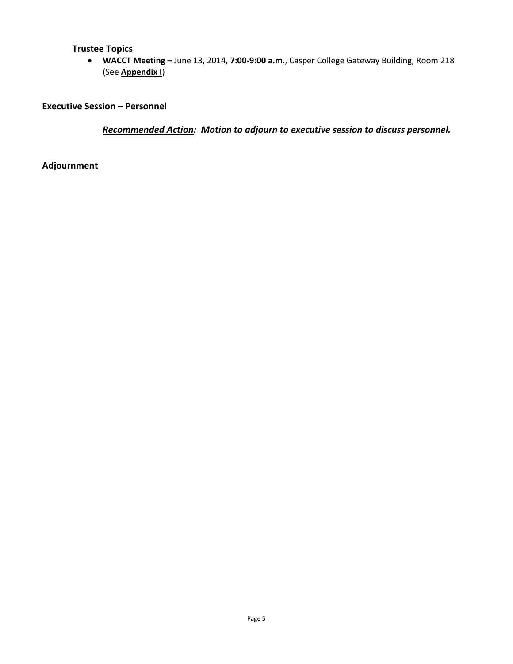# **Trustee Topics**

 **WACCT Meeting –** June 13, 2014, **7:00-9:00 a.m**., Casper College Gateway Building, Room 218 (See **Appendix I**)

**Executive Session – Personnel**

*Recommended Action: Motion to adjourn to executive session to discuss personnel.*

**Adjournment**